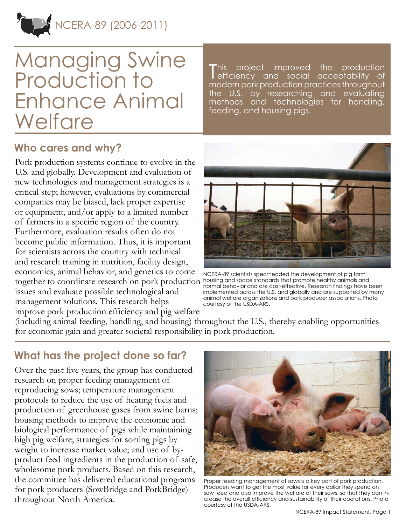

# Managing Swine Production to Enhance Animal **Welfare**

T his project improved the production efficiency and social acceptability of modern pork production practices throughout the U.S. by researching and evaluating methods and technologies for handling, feeding, and housing pigs.

## **Who cares and why?**

Pork production systems continue to evolve in the U.S. and globally. Development and evaluation of new technologies and management strategies is a critical step; however, evaluations by commercial companies may be biased, lack proper expertise or equipment, and/or apply to a limited number of farmers in a specific region of the country. Furthermore, evaluation results often do not become public information. Thus, it is important for scientists across the country with technical and research training in nutrition, facility design, economics, animal behavior, and genetics to come together to coordinate research on pork production issues and evaluate possible technological and management solutions. This research helps improve pork production efficiency and pig welfare



NCERA-89 scientists spearheaded the development of pig farm housing and space standards that promote healthy animals and normal behavior and are cost-effective. Research findings have been implemented across the U.S. and globally and are supported by many animal welfare organizations and pork producer associations. Photo courtesy of the USDA-ARS.

(including animal feeding, handling, and housing) throughout the U.S., thereby enabling opportunities for economic gain and greater societal responsibility in pork production.

#### **What has the project done so far?**

Over the past five years, the group has conducted research on proper feeding management of reproducing sows; temperature management protocols to reduce the use of heating fuels and production of greenhouse gases from swine barns; housing methods to improve the economic and biological performance of pigs while maintaining high pig welfare; strategies for sorting pigs by weight to increase market value; and use of byproduct feed ingredients in the production of safe, wholesome pork products. Based on this research, the committee has delivered educational programs for pork producers (SowBridge and PorkBridge) throughout North America.



Proper feeding management of sows is a key part of pork production. Producers want to get the most value for every dollar they spend on sow feed and also improve the welfare of their sows, so that they can increase the overall efficiency and sustainability of their operations. Photo courtesy of the USDA-ARS.